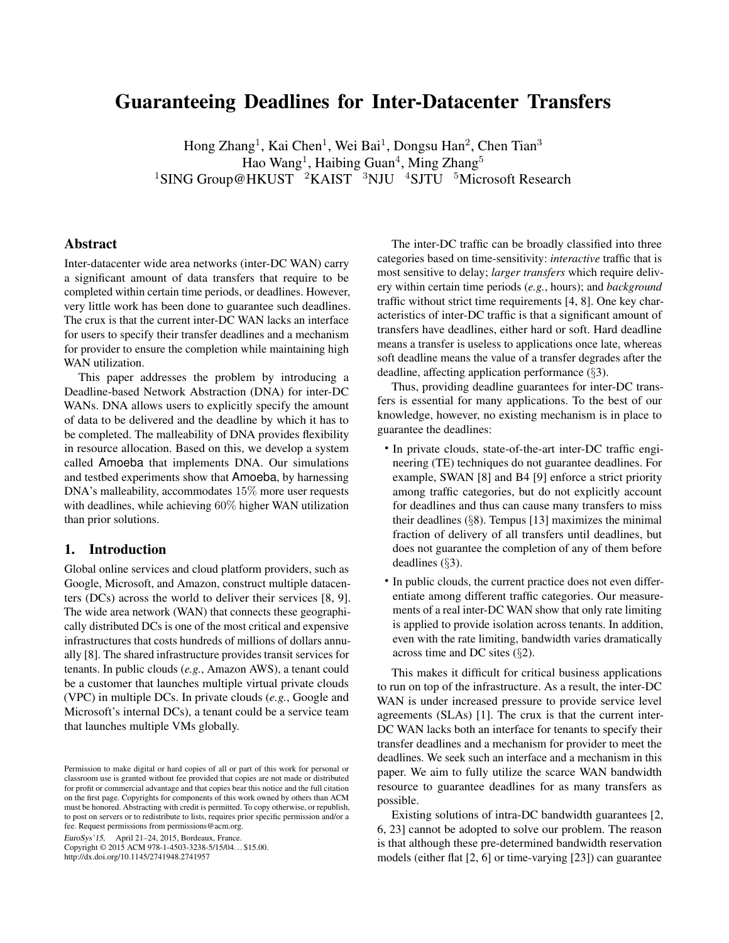# Guaranteeing Deadlines for Inter-Datacenter Transfers

Hong Zhang<sup>1</sup>, Kai Chen<sup>1</sup>, Wei Bai<sup>1</sup>, Dongsu Han<sup>2</sup>, Chen Tian<sup>3</sup> Hao Wang<sup>1</sup>, Haibing Guan<sup>4</sup>, Ming Zhang<sup>5</sup> <sup>1</sup>SING Group@HKUST <sup>2</sup>KAIST <sup>3</sup>NJU <sup>4</sup>SJTU <sup>5</sup>Microsoft Research

# Abstract

Inter-datacenter wide area networks (inter-DC WAN) carry a significant amount of data transfers that require to be completed within certain time periods, or deadlines. However, very little work has been done to guarantee such deadlines. The crux is that the current inter-DC WAN lacks an interface for users to specify their transfer deadlines and a mechanism for provider to ensure the completion while maintaining high WAN utilization.

This paper addresses the problem by introducing a Deadline-based Network Abstraction (DNA) for inter-DC WANs. DNA allows users to explicitly specify the amount of data to be delivered and the deadline by which it has to be completed. The malleability of DNA provides flexibility in resource allocation. Based on this, we develop a system called Amoeba that implements DNA. Our simulations and testbed experiments show that Amoeba, by harnessing DNA's malleability, accommodates 15% more user requests with deadlines, while achieving 60% higher WAN utilization than prior solutions.

# 1. Introduction

Global online services and cloud platform providers, such as Google, Microsoft, and Amazon, construct multiple datacenters (DCs) across the world to deliver their services [8, 9]. The wide area network (WAN) that connects these geographically distributed DCs is one of the most critical and expensive infrastructures that costs hundreds of millions of dollars annually [8]. The shared infrastructure provides transit services for tenants. In public clouds (*e.g.*, Amazon AWS), a tenant could be a customer that launches multiple virtual private clouds (VPC) in multiple DCs. In private clouds (*e.g.*, Google and Microsoft's internal DCs), a tenant could be a service team that launches multiple VMs globally.

EuroSys'15, April 21–24, 2015, Bordeaux, France.

Copyright © 2015 ACM 978-1-4503-3238-5/15/04. . . \$15.00. http://dx.doi.org/10.1145/2741948.2741957

The inter-DC traffic can be broadly classified into three categories based on time-sensitivity: *interactive* traffic that is most sensitive to delay; *larger transfers* which require delivery within certain time periods (*e.g.*, hours); and *background* traffic without strict time requirements [4, 8]. One key characteristics of inter-DC traffic is that a significant amount of transfers have deadlines, either hard or soft. Hard deadline means a transfer is useless to applications once late, whereas soft deadline means the value of a transfer degrades after the deadline, affecting application performance (§3).

Thus, providing deadline guarantees for inter-DC transfers is essential for many applications. To the best of our knowledge, however, no existing mechanism is in place to guarantee the deadlines:

- In private clouds, state-of-the-art inter-DC traffic engineering (TE) techniques do not guarantee deadlines. For example, SWAN [8] and B4 [9] enforce a strict priority among traffic categories, but do not explicitly account for deadlines and thus can cause many transfers to miss their deadlines (§8). Tempus [13] maximizes the minimal fraction of delivery of all transfers until deadlines, but does not guarantee the completion of any of them before deadlines (§3).
- In public clouds, the current practice does not even differentiate among different traffic categories. Our measurements of a real inter-DC WAN show that only rate limiting is applied to provide isolation across tenants. In addition, even with the rate limiting, bandwidth varies dramatically across time and DC sites (§2).

This makes it difficult for critical business applications to run on top of the infrastructure. As a result, the inter-DC WAN is under increased pressure to provide service level agreements (SLAs) [1]. The crux is that the current inter-DC WAN lacks both an interface for tenants to specify their transfer deadlines and a mechanism for provider to meet the deadlines. We seek such an interface and a mechanism in this paper. We aim to fully utilize the scarce WAN bandwidth resource to guarantee deadlines for as many transfers as possible.

Existing solutions of intra-DC bandwidth guarantees [2, 6, 23] cannot be adopted to solve our problem. The reason is that although these pre-determined bandwidth reservation models (either flat [2, 6] or time-varying [23]) can guarantee

Permission to make digital or hard copies of all or part of this work for personal or classroom use is granted without fee provided that copies are not made or distributed for profit or commercial advantage and that copies bear this notice and the full citation on the first page. Copyrights for components of this work owned by others than ACM must be honored. Abstracting with credit is permitted. To copy otherwise, or republish, to post on servers or to redistribute to lists, requires prior specific permission and/or a fee. Request permissions from permissions@acm.org.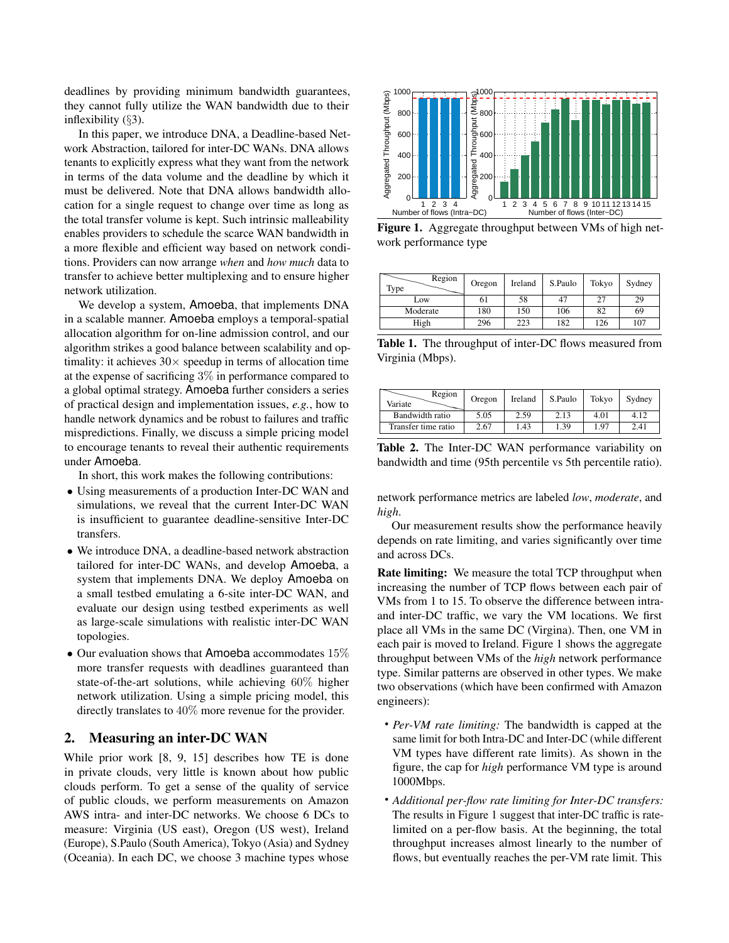deadlines by providing minimum bandwidth guarantees, they cannot fully utilize the WAN bandwidth due to their inflexibility (§3).

In this paper, we introduce DNA, a Deadline-based Network Abstraction, tailored for inter-DC WANs. DNA allows tenants to explicitly express what they want from the network in terms of the data volume and the deadline by which it must be delivered. Note that DNA allows bandwidth allocation for a single request to change over time as long as the total transfer volume is kept. Such intrinsic malleability enables providers to schedule the scarce WAN bandwidth in a more flexible and efficient way based on network conditions. Providers can now arrange *when* and *how much* data to transfer to achieve better multiplexing and to ensure higher network utilization.

We develop a system, Amoeba, that implements DNA in a scalable manner. Amoeba employs a temporal-spatial allocation algorithm for on-line admission control, and our algorithm strikes a good balance between scalability and optimality: it achieves  $30 \times$  speedup in terms of allocation time at the expense of sacrificing 3% in performance compared to a global optimal strategy. Amoeba further considers a series of practical design and implementation issues, *e.g.*, how to handle network dynamics and be robust to failures and traffic mispredictions. Finally, we discuss a simple pricing model to encourage tenants to reveal their authentic requirements under Amoeba.

In short, this work makes the following contributions:

- Using measurements of a production Inter-DC WAN and simulations, we reveal that the current Inter-DC WAN is insufficient to guarantee deadline-sensitive Inter-DC transfers.
- We introduce DNA, a deadline-based network abstraction tailored for inter-DC WANs, and develop Amoeba, a system that implements DNA. We deploy Amoeba on a small testbed emulating a 6-site inter-DC WAN, and evaluate our design using testbed experiments as well as large-scale simulations with realistic inter-DC WAN topologies.
- Our evaluation shows that Amoeba accommodates 15% more transfer requests with deadlines guaranteed than state-of-the-art solutions, while achieving 60% higher network utilization. Using a simple pricing model, this directly translates to 40% more revenue for the provider.

# 2. Measuring an inter-DC WAN

While prior work [8, 9, 15] describes how TE is done in private clouds, very little is known about how public clouds perform. To get a sense of the quality of service of public clouds, we perform measurements on Amazon AWS intra- and inter-DC networks. We choose 6 DCs to measure: Virginia (US east), Oregon (US west), Ireland (Europe), S.Paulo (South America), Tokyo (Asia) and Sydney (Oceania). In each DC, we choose 3 machine types whose



Figure 1. Aggregate throughput between VMs of high network performance type

| Region<br>Type | Oregon | Ireland | S.Paulo | Tokyo | Sydney |
|----------------|--------|---------|---------|-------|--------|
| Low            | 61     | 58      | 47      | 27    | 29     |
| Moderate       | 180    | 150     | 106     | 82    | 69     |
| High           | 296    | 223     | 182     | 126   | 107    |

Table 1. The throughput of inter-DC flows measured from Virginia (Mbps).

| Region<br>Variate   | Oregon | Ireland | S.Paulo | Tokyo | Sydney |
|---------------------|--------|---------|---------|-------|--------|
| Bandwidth ratio     | 5.05   | 2.59    | 2.13    | 4.01  | 4.12   |
| Transfer time ratio | 2.67   | 1.43    | 1.39    | 1.97  | 2.41   |

Table 2. The Inter-DC WAN performance variability on bandwidth and time (95th percentile vs 5th percentile ratio).

network performance metrics are labeled *low*, *moderate*, and *high*.

Our measurement results show the performance heavily depends on rate limiting, and varies significantly over time and across DCs.

Rate limiting: We measure the total TCP throughput when increasing the number of TCP flows between each pair of VMs from 1 to 15. To observe the difference between intraand inter-DC traffic, we vary the VM locations. We first place all VMs in the same DC (Virgina). Then, one VM in each pair is moved to Ireland. Figure 1 shows the aggregate throughput between VMs of the *high* network performance type. Similar patterns are observed in other types. We make two observations (which have been confirmed with Amazon engineers):

- *Per-VM rate limiting:* The bandwidth is capped at the same limit for both Intra-DC and Inter-DC (while different VM types have different rate limits). As shown in the figure, the cap for *high* performance VM type is around 1000Mbps.
- *Additional per-flow rate limiting for Inter-DC transfers:* The results in Figure 1 suggest that inter-DC traffic is ratelimited on a per-flow basis. At the beginning, the total throughput increases almost linearly to the number of flows, but eventually reaches the per-VM rate limit. This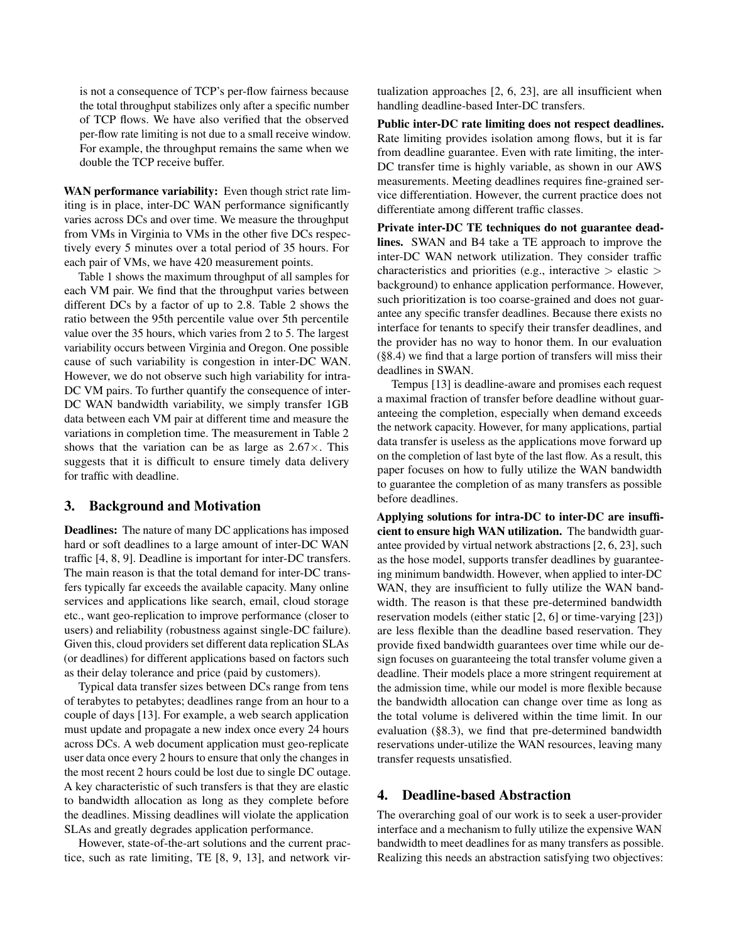is not a consequence of TCP's per-flow fairness because the total throughput stabilizes only after a specific number of TCP flows. We have also verified that the observed per-flow rate limiting is not due to a small receive window. For example, the throughput remains the same when we double the TCP receive buffer.

WAN performance variability: Even though strict rate limiting is in place, inter-DC WAN performance significantly varies across DCs and over time. We measure the throughput from VMs in Virginia to VMs in the other five DCs respectively every 5 minutes over a total period of 35 hours. For each pair of VMs, we have 420 measurement points.

Table 1 shows the maximum throughput of all samples for each VM pair. We find that the throughput varies between different DCs by a factor of up to 2.8. Table 2 shows the ratio between the 95th percentile value over 5th percentile value over the 35 hours, which varies from 2 to 5. The largest variability occurs between Virginia and Oregon. One possible cause of such variability is congestion in inter-DC WAN. However, we do not observe such high variability for intra-DC VM pairs. To further quantify the consequence of inter-DC WAN bandwidth variability, we simply transfer 1GB data between each VM pair at different time and measure the variations in completion time. The measurement in Table 2 shows that the variation can be as large as  $2.67\times$ . This suggests that it is difficult to ensure timely data delivery for traffic with deadline.

## 3. Background and Motivation

Deadlines: The nature of many DC applications has imposed hard or soft deadlines to a large amount of inter-DC WAN traffic [4, 8, 9]. Deadline is important for inter-DC transfers. The main reason is that the total demand for inter-DC transfers typically far exceeds the available capacity. Many online services and applications like search, email, cloud storage etc., want geo-replication to improve performance (closer to users) and reliability (robustness against single-DC failure). Given this, cloud providers set different data replication SLAs (or deadlines) for different applications based on factors such as their delay tolerance and price (paid by customers).

Typical data transfer sizes between DCs range from tens of terabytes to petabytes; deadlines range from an hour to a couple of days [13]. For example, a web search application must update and propagate a new index once every 24 hours across DCs. A web document application must geo-replicate user data once every 2 hours to ensure that only the changes in the most recent 2 hours could be lost due to single DC outage. A key characteristic of such transfers is that they are elastic to bandwidth allocation as long as they complete before the deadlines. Missing deadlines will violate the application SLAs and greatly degrades application performance.

However, state-of-the-art solutions and the current practice, such as rate limiting, TE [8, 9, 13], and network virtualization approaches [2, 6, 23], are all insufficient when handling deadline-based Inter-DC transfers.

Public inter-DC rate limiting does not respect deadlines. Rate limiting provides isolation among flows, but it is far from deadline guarantee. Even with rate limiting, the inter-DC transfer time is highly variable, as shown in our AWS measurements. Meeting deadlines requires fine-grained service differentiation. However, the current practice does not differentiate among different traffic classes.

Private inter-DC TE techniques do not guarantee deadlines. SWAN and B4 take a TE approach to improve the inter-DC WAN network utilization. They consider traffic characteristics and priorities (e.g., interactive > elastic > background) to enhance application performance. However, such prioritization is too coarse-grained and does not guarantee any specific transfer deadlines. Because there exists no interface for tenants to specify their transfer deadlines, and the provider has no way to honor them. In our evaluation (§8.4) we find that a large portion of transfers will miss their deadlines in SWAN.

Tempus [13] is deadline-aware and promises each request a maximal fraction of transfer before deadline without guaranteeing the completion, especially when demand exceeds the network capacity. However, for many applications, partial data transfer is useless as the applications move forward up on the completion of last byte of the last flow. As a result, this paper focuses on how to fully utilize the WAN bandwidth to guarantee the completion of as many transfers as possible before deadlines.

Applying solutions for intra-DC to inter-DC are insufficient to ensure high WAN utilization. The bandwidth guarantee provided by virtual network abstractions [2, 6, 23], such as the hose model, supports transfer deadlines by guaranteeing minimum bandwidth. However, when applied to inter-DC WAN, they are insufficient to fully utilize the WAN bandwidth. The reason is that these pre-determined bandwidth reservation models (either static [2, 6] or time-varying [23]) are less flexible than the deadline based reservation. They provide fixed bandwidth guarantees over time while our design focuses on guaranteeing the total transfer volume given a deadline. Their models place a more stringent requirement at the admission time, while our model is more flexible because the bandwidth allocation can change over time as long as the total volume is delivered within the time limit. In our evaluation (§8.3), we find that pre-determined bandwidth reservations under-utilize the WAN resources, leaving many transfer requests unsatisfied.

## 4. Deadline-based Abstraction

The overarching goal of our work is to seek a user-provider interface and a mechanism to fully utilize the expensive WAN bandwidth to meet deadlines for as many transfers as possible. Realizing this needs an abstraction satisfying two objectives: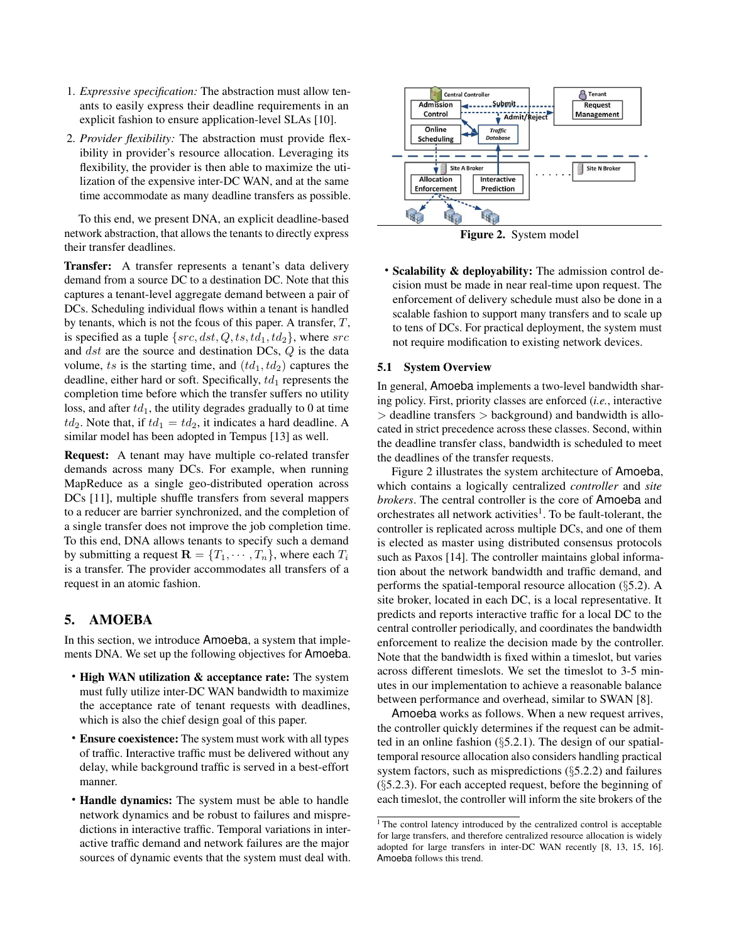- 1. *Expressive specification:* The abstraction must allow tenants to easily express their deadline requirements in an explicit fashion to ensure application-level SLAs [10].
- 2. *Provider flexibility:* The abstraction must provide flexibility in provider's resource allocation. Leveraging its flexibility, the provider is then able to maximize the utilization of the expensive inter-DC WAN, and at the same time accommodate as many deadline transfers as possible.

To this end, we present DNA, an explicit deadline-based network abstraction, that allows the tenants to directly express their transfer deadlines.

Transfer: A transfer represents a tenant's data delivery demand from a source DC to a destination DC. Note that this captures a tenant-level aggregate demand between a pair of DCs. Scheduling individual flows within a tenant is handled by tenants, which is not the fcous of this paper. A transfer, T, is specified as a tuple  $\{src, dst, Q, ts, td_1, td_2\}$ , where  $src$ and dst are the source and destination DCs, Q is the data volume, ts is the starting time, and  $(td_1, td_2)$  captures the deadline, either hard or soft. Specifically,  $td_1$  represents the completion time before which the transfer suffers no utility loss, and after  $td_1$ , the utility degrades gradually to 0 at time  $td_2$ . Note that, if  $td_1 = td_2$ , it indicates a hard deadline. A similar model has been adopted in Tempus [13] as well.

Request: A tenant may have multiple co-related transfer demands across many DCs. For example, when running MapReduce as a single geo-distributed operation across DCs [11], multiple shuffle transfers from several mappers to a reducer are barrier synchronized, and the completion of a single transfer does not improve the job completion time. To this end, DNA allows tenants to specify such a demand by submitting a request  $\mathbf{R} = \{T_1, \dots, T_n\}$ , where each  $T_i$ is a transfer. The provider accommodates all transfers of a request in an atomic fashion.

# 5. AMOEBA

In this section, we introduce Amoeba, a system that implements DNA. We set up the following objectives for Amoeba.

- High WAN utilization & acceptance rate: The system must fully utilize inter-DC WAN bandwidth to maximize the acceptance rate of tenant requests with deadlines, which is also the chief design goal of this paper.
- Ensure coexistence: The system must work with all types of traffic. Interactive traffic must be delivered without any delay, while background traffic is served in a best-effort manner.
- Handle dynamics: The system must be able to handle network dynamics and be robust to failures and mispredictions in interactive traffic. Temporal variations in interactive traffic demand and network failures are the major sources of dynamic events that the system must deal with.



Figure 2. System model

• Scalability & deployability: The admission control decision must be made in near real-time upon request. The enforcement of delivery schedule must also be done in a scalable fashion to support many transfers and to scale up to tens of DCs. For practical deployment, the system must not require modification to existing network devices.

#### 5.1 System Overview

In general, Amoeba implements a two-level bandwidth sharing policy. First, priority classes are enforced (*i.e.*, interactive  $>$  deadline transfers  $>$  background) and bandwidth is allocated in strict precedence across these classes. Second, within the deadline transfer class, bandwidth is scheduled to meet the deadlines of the transfer requests.

Figure 2 illustrates the system architecture of Amoeba, which contains a logically centralized *controller* and *site brokers*. The central controller is the core of Amoeba and orchestrates all network activities<sup>1</sup>. To be fault-tolerant, the controller is replicated across multiple DCs, and one of them is elected as master using distributed consensus protocols such as Paxos [14]. The controller maintains global information about the network bandwidth and traffic demand, and performs the spatial-temporal resource allocation (§5.2). A site broker, located in each DC, is a local representative. It predicts and reports interactive traffic for a local DC to the central controller periodically, and coordinates the bandwidth enforcement to realize the decision made by the controller. Note that the bandwidth is fixed within a timeslot, but varies across different timeslots. We set the timeslot to 3-5 minutes in our implementation to achieve a reasonable balance between performance and overhead, similar to SWAN [8].

Amoeba works as follows. When a new request arrives, the controller quickly determines if the request can be admitted in an online fashion  $(\S 5.2.1)$ . The design of our spatialtemporal resource allocation also considers handling practical system factors, such as mispredictions (§5.2.2) and failures  $(\S 5.2.3)$ . For each accepted request, before the beginning of each timeslot, the controller will inform the site brokers of the

<sup>&</sup>lt;sup>1</sup> The control latency introduced by the centralized control is acceptable for large transfers, and therefore centralized resource allocation is widely adopted for large transfers in inter-DC WAN recently [8, 13, 15, 16]. Amoeba follows this trend.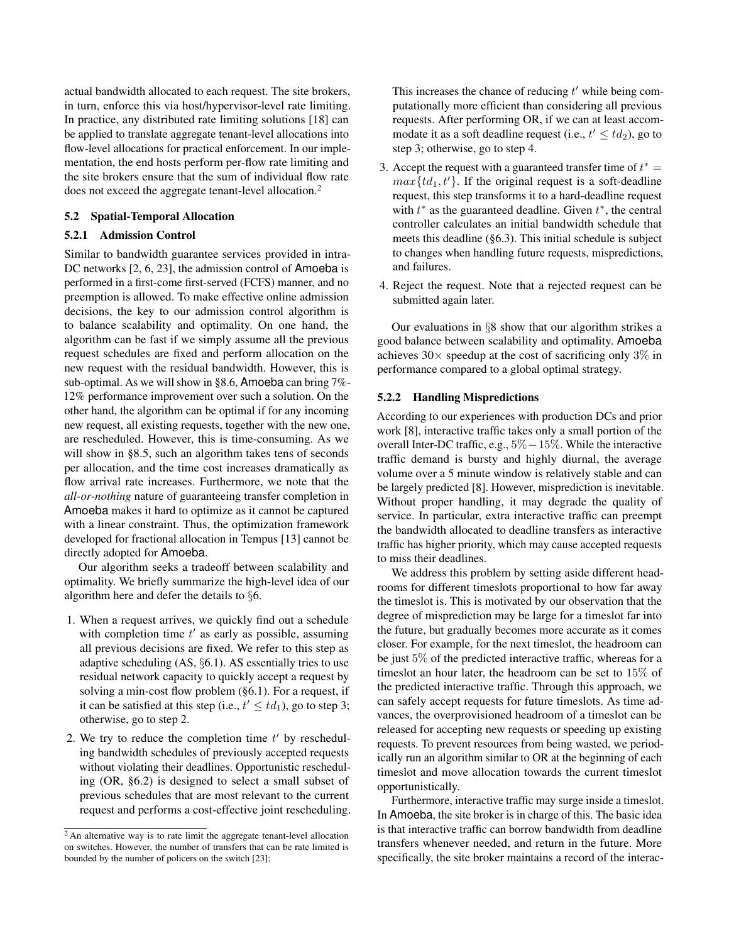actual bandwidth allocated to each request. The site brokers, in turn, enforce this via host/hypervisor-level rate limiting. In practice, any distributed rate limiting solutions [18] can be applied to translate aggregate tenant-level allocations into flow-level allocations for practical enforcement. In our implementation, the end hosts perform per-flow rate limiting and the site brokers ensure that the sum of individual flow rate does not exceed the aggregate tenant-level allocation.<sup>2</sup>

## 5.2 Spatial-Temporal Allocation

#### 5.2.1 Admission Control

Similar to bandwidth guarantee services provided in intra-DC networks [2, 6, 23], the admission control of Amoeba is performed in a first-come first-served (FCFS) manner, and no preemption is allowed. To make effective online admission decisions, the key to our admission control algorithm is to balance scalability and optimality. On one hand, the algorithm can be fast if we simply assume all the previous request schedules are fixed and perform allocation on the new request with the residual bandwidth. However, this is sub-optimal. As we will show in §8.6, Amoeba can bring 7%- 12% performance improvement over such a solution. On the other hand, the algorithm can be optimal if for any incoming new request, all existing requests, together with the new one, are rescheduled. However, this is time-consuming. As we will show in §8.5, such an algorithm takes tens of seconds per allocation, and the time cost increases dramatically as flow arrival rate increases. Furthermore, we note that the *all-or-nothing* nature of guaranteeing transfer completion in Amoeba makes it hard to optimize as it cannot be captured with a linear constraint. Thus, the optimization framework developed for fractional allocation in Tempus [13] cannot be directly adopted for Amoeba.

Our algorithm seeks a tradeoff between scalability and optimality. We briefly summarize the high-level idea of our algorithm here and defer the details to §6.

- 1. When a request arrives, we quickly find out a schedule with completion time  $t'$  as early as possible, assuming all previous decisions are fixed. We refer to this step as adaptive scheduling (AS, §6.1). AS essentially tries to use residual network capacity to quickly accept a request by solving a min-cost flow problem (§6.1). For a request, if it can be satisfied at this step (i.e.,  $t' \leq td_1$ ), go to step 3; otherwise, go to step 2.
- 2. We try to reduce the completion time  $t'$  by rescheduling bandwidth schedules of previously accepted requests without violating their deadlines. Opportunistic rescheduling (OR, §6.2) is designed to select a small subset of previous schedules that are most relevant to the current request and performs a cost-effective joint rescheduling.

This increases the chance of reducing  $t'$  while being computationally more efficient than considering all previous requests. After performing OR, if we can at least accommodate it as a soft deadline request (i.e.,  $t' \leq td_2$ ), go to step 3; otherwise, go to step 4.

- 3. Accept the request with a guaranteed transfer time of  $t^* =$  $max\{td_1, t'\}$ . If the original request is a soft-deadline request, this step transforms it to a hard-deadline request with  $t^*$  as the guaranteed deadline. Given  $t^*$ , the central controller calculates an initial bandwidth schedule that meets this deadline (§6.3). This initial schedule is subject to changes when handling future requests, mispredictions, and failures.
- 4. Reject the request. Note that a rejected request can be submitted again later.

Our evaluations in §8 show that our algorithm strikes a good balance between scalability and optimality. Amoeba achieves  $30 \times$  speedup at the cost of sacrificing only  $3\%$  in performance compared to a global optimal strategy.

#### 5.2.2 Handling Mispredictions

According to our experiences with production DCs and prior work [8], interactive traffic takes only a small portion of the overall Inter-DC traffic, e.g., 5%−15%. While the interactive traffic demand is bursty and highly diurnal, the average volume over a 5 minute window is relatively stable and can be largely predicted [8]. However, misprediction is inevitable. Without proper handling, it may degrade the quality of service. In particular, extra interactive traffic can preempt the bandwidth allocated to deadline transfers as interactive traffic has higher priority, which may cause accepted requests to miss their deadlines.

We address this problem by setting aside different headrooms for different timeslots proportional to how far away the timeslot is. This is motivated by our observation that the degree of misprediction may be large for a timeslot far into the future, but gradually becomes more accurate as it comes closer. For example, for the next timeslot, the headroom can be just 5% of the predicted interactive traffic, whereas for a timeslot an hour later, the headroom can be set to 15% of the predicted interactive traffic. Through this approach, we can safely accept requests for future timeslots. As time advances, the overprovisioned headroom of a timeslot can be released for accepting new requests or speeding up existing requests. To prevent resources from being wasted, we periodically run an algorithm similar to OR at the beginning of each timeslot and move allocation towards the current timeslot opportunistically.

Furthermore, interactive traffic may surge inside a timeslot. In Amoeba, the site broker is in charge of this. The basic idea is that interactive traffic can borrow bandwidth from deadline transfers whenever needed, and return in the future. More specifically, the site broker maintains a record of the interac-

<sup>2</sup> An alternative way is to rate limit the aggregate tenant-level allocation on switches. However, the number of transfers that can be rate limited is bounded by the number of policers on the switch [23];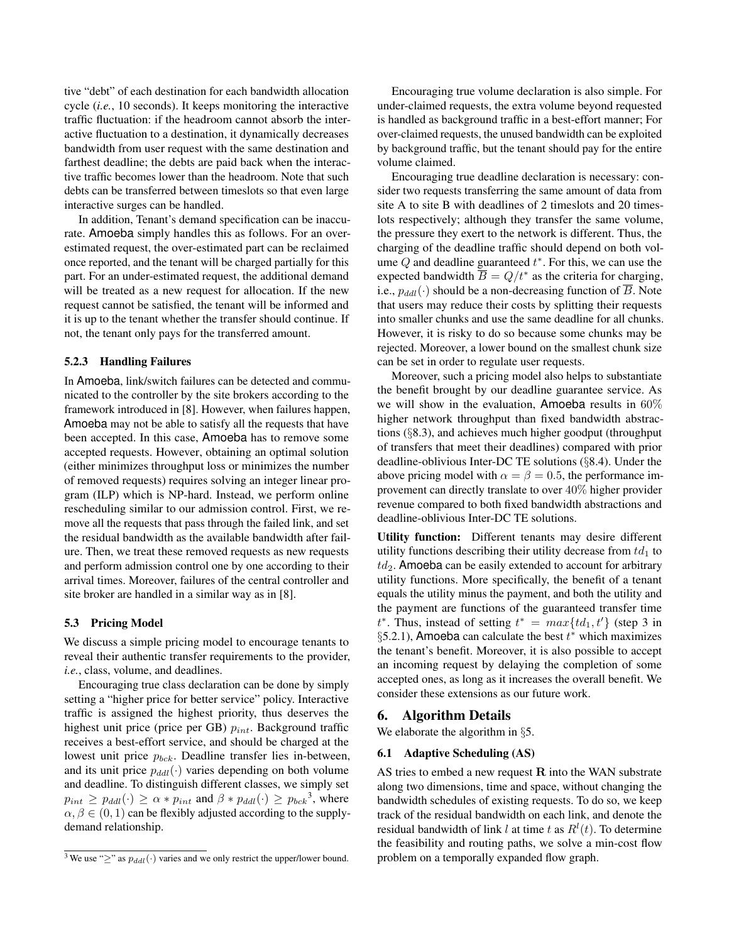tive "debt" of each destination for each bandwidth allocation cycle (*i.e.*, 10 seconds). It keeps monitoring the interactive traffic fluctuation: if the headroom cannot absorb the interactive fluctuation to a destination, it dynamically decreases bandwidth from user request with the same destination and farthest deadline; the debts are paid back when the interactive traffic becomes lower than the headroom. Note that such debts can be transferred between timeslots so that even large interactive surges can be handled.

In addition, Tenant's demand specification can be inaccurate. Amoeba simply handles this as follows. For an overestimated request, the over-estimated part can be reclaimed once reported, and the tenant will be charged partially for this part. For an under-estimated request, the additional demand will be treated as a new request for allocation. If the new request cannot be satisfied, the tenant will be informed and it is up to the tenant whether the transfer should continue. If not, the tenant only pays for the transferred amount.

#### 5.2.3 Handling Failures

In Amoeba, link/switch failures can be detected and communicated to the controller by the site brokers according to the framework introduced in [8]. However, when failures happen, Amoeba may not be able to satisfy all the requests that have been accepted. In this case, Amoeba has to remove some accepted requests. However, obtaining an optimal solution (either minimizes throughput loss or minimizes the number of removed requests) requires solving an integer linear program (ILP) which is NP-hard. Instead, we perform online rescheduling similar to our admission control. First, we remove all the requests that pass through the failed link, and set the residual bandwidth as the available bandwidth after failure. Then, we treat these removed requests as new requests and perform admission control one by one according to their arrival times. Moreover, failures of the central controller and site broker are handled in a similar way as in [8].

#### 5.3 Pricing Model

We discuss a simple pricing model to encourage tenants to reveal their authentic transfer requirements to the provider, *i.e.*, class, volume, and deadlines.

Encouraging true class declaration can be done by simply setting a "higher price for better service" policy. Interactive traffic is assigned the highest priority, thus deserves the highest unit price (price per GB)  $p_{int}$ . Background traffic receives a best-effort service, and should be charged at the lowest unit price  $p_{bck}$ . Deadline transfer lies in-between, and its unit price  $p_{ddl}(\cdot)$  varies depending on both volume and deadline. To distinguish different classes, we simply set  $p_{int} \geq p_{ddl}(\cdot) \geq \alpha * p_{int}$  and  $\beta * p_{ddl}(\cdot) \geq p_{bck}^3$ , where  $\alpha, \beta \in (0, 1)$  can be flexibly adjusted according to the supplydemand relationship.

Encouraging true volume declaration is also simple. For under-claimed requests, the extra volume beyond requested is handled as background traffic in a best-effort manner; For over-claimed requests, the unused bandwidth can be exploited by background traffic, but the tenant should pay for the entire volume claimed.

Encouraging true deadline declaration is necessary: consider two requests transferring the same amount of data from site A to site B with deadlines of 2 timeslots and 20 timeslots respectively; although they transfer the same volume, the pressure they exert to the network is different. Thus, the charging of the deadline traffic should depend on both volume  $Q$  and deadline guaranteed  $t^*$ . For this, we can use the expected bandwidth  $\overline{B} = Q/t^*$  as the criteria for charging, i.e.,  $p_{ddl}(\cdot)$  should be a non-decreasing function of  $\overline{B}$ . Note that users may reduce their costs by splitting their requests into smaller chunks and use the same deadline for all chunks. However, it is risky to do so because some chunks may be rejected. Moreover, a lower bound on the smallest chunk size can be set in order to regulate user requests.

Moreover, such a pricing model also helps to substantiate the benefit brought by our deadline guarantee service. As we will show in the evaluation, Amoeba results in 60% higher network throughput than fixed bandwidth abstractions (§8.3), and achieves much higher goodput (throughput of transfers that meet their deadlines) compared with prior deadline-oblivious Inter-DC TE solutions (§8.4). Under the above pricing model with  $\alpha = \beta = 0.5$ , the performance improvement can directly translate to over 40% higher provider revenue compared to both fixed bandwidth abstractions and deadline-oblivious Inter-DC TE solutions.

Utility function: Different tenants may desire different utility functions describing their utility decrease from  $td_1$  to  $td_2$ . Amoeba can be easily extended to account for arbitrary utility functions. More specifically, the benefit of a tenant equals the utility minus the payment, and both the utility and the payment are functions of the guaranteed transfer time  $t^*$ . Thus, instead of setting  $t^* = max\{td_1, t'\}$  (step 3 in §5.2.1), Amoeba can calculate the best  $t^*$  which maximizes the tenant's benefit. Moreover, it is also possible to accept an incoming request by delaying the completion of some accepted ones, as long as it increases the overall benefit. We consider these extensions as our future work.

### 6. Algorithm Details

We elaborate the algorithm in §5.

#### 6.1 Adaptive Scheduling (AS)

AS tries to embed a new request  $R$  into the WAN substrate along two dimensions, time and space, without changing the bandwidth schedules of existing requests. To do so, we keep track of the residual bandwidth on each link, and denote the residual bandwidth of link l at time t as  $R^l(t)$ . To determine the feasibility and routing paths, we solve a min-cost flow problem on a temporally expanded flow graph.

<sup>&</sup>lt;sup>3</sup> We use " $\geq$ " as  $p_{ddl}(\cdot)$  varies and we only restrict the upper/lower bound.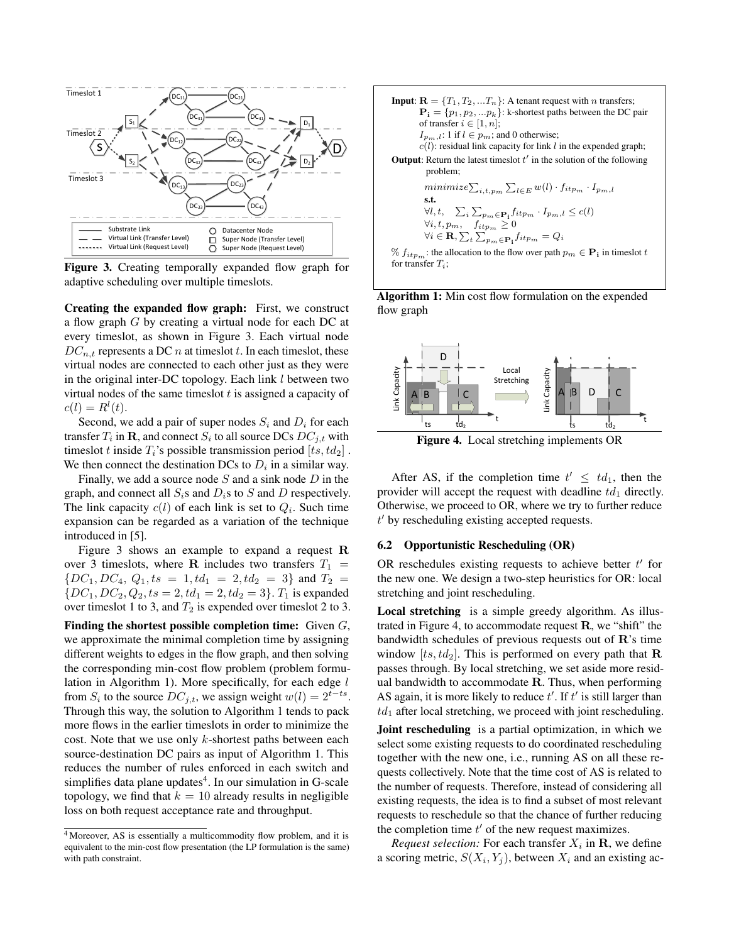

Figure 3. Creating temporally expanded flow graph for adaptive scheduling over multiple timeslots.

Creating the expanded flow graph: First, we construct a flow graph G by creating a virtual node for each DC at every timeslot, as shown in Figure 3. Each virtual node  $DC_{n,t}$  represents a DC n at timeslot t. In each timeslot, these virtual nodes are connected to each other just as they were in the original inter-DC topology. Each link  $l$  between two virtual nodes of the same timeslot  $t$  is assigned a capacity of  $c(l) = R^l(t).$ 

Second, we add a pair of super nodes  $S_i$  and  $D_i$  for each transfer  $T_i$  in  $\mathbf R$ , and connect  $S_i$  to all source DCs  $DC_{j,t}$  with timeslot t inside  $T_i$ 's possible transmission period  $[ts, td_2]$ . We then connect the destination DCs to  $D_i$  in a similar way.

Finally, we add a source node  $S$  and a sink node  $D$  in the graph, and connect all  $S_i$ s and  $D_i$ s to S and D respectively. The link capacity  $c(l)$  of each link is set to  $Q_i$ . Such time expansion can be regarded as a variation of the technique introduced in [5].

Figure 3 shows an example to expand a request R over 3 timeslots, where **R** includes two transfers  $T_1$  =  $\{DC_1, DC_4, Q_1, ts = 1, td_1 = 2, td_2 = 3\}$  and  $T_2 =$  $\{DC_1, DC_2, Q_2, ts = 2, td_1 = 2, td_2 = 3\}$ .  $T_1$  is expanded over timeslot 1 to 3, and  $T_2$  is expended over timeslot 2 to 3.

Finding the shortest possible completion time: Given  $G$ , we approximate the minimal completion time by assigning different weights to edges in the flow graph, and then solving the corresponding min-cost flow problem (problem formulation in Algorithm 1). More specifically, for each edge  $l$ from  $S_i$  to the source  $DC_{j,t}$ , we assign weight  $w(l) = 2^{t-ts}$ . Through this way, the solution to Algorithm 1 tends to pack more flows in the earlier timeslots in order to minimize the cost. Note that we use only  $k$ -shortest paths between each source-destination DC pairs as input of Algorithm 1. This reduces the number of rules enforced in each switch and simplifies data plane updates<sup>4</sup>. In our simulation in G-scale topology, we find that  $k = 10$  already results in negligible loss on both request acceptance rate and throughput.



Algorithm 1: Min cost flow formulation on the expended flow graph



Figure 4. Local stretching implements OR

After AS, if the completion time  $t' \leq t d_1$ , then the provider will accept the request with deadline  $td_1$  directly. Otherwise, we proceed to OR, where we try to further reduce  $t'$  by rescheduling existing accepted requests.

#### 6.2 Opportunistic Rescheduling (OR)

OR reschedules existing requests to achieve better  $t'$  for the new one. We design a two-step heuristics for OR: local stretching and joint rescheduling.

Local stretching is a simple greedy algorithm. As illustrated in Figure 4, to accommodate request  $\bf{R}$ , we "shift" the bandwidth schedules of previous requests out of R's time window  $[ts, td_2]$ . This is performed on every path that R passes through. By local stretching, we set aside more residual bandwidth to accommodate R. Thus, when performing AS again, it is more likely to reduce  $t'$ . If  $t'$  is still larger than  $td_1$  after local stretching, we proceed with joint rescheduling. Joint rescheduling is a partial optimization, in which we

select some existing requests to do coordinated rescheduling together with the new one, i.e., running AS on all these requests collectively. Note that the time cost of AS is related to the number of requests. Therefore, instead of considering all existing requests, the idea is to find a subset of most relevant requests to reschedule so that the chance of further reducing the completion time  $t'$  of the new request maximizes.

*Request selection:* For each transfer  $X_i$  in **R**, we define a scoring metric,  $S(X_i, Y_j)$ , between  $X_i$  and an existing ac-

<sup>4</sup> Moreover, AS is essentially a multicommodity flow problem, and it is equivalent to the min-cost flow presentation (the LP formulation is the same) with path constraint.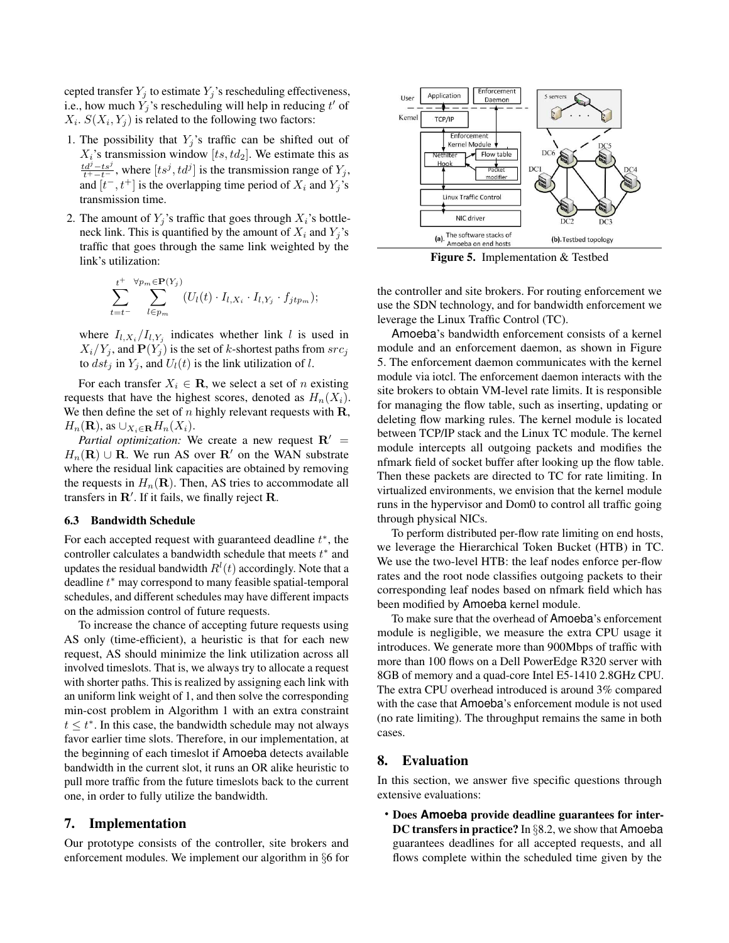cepted transfer  $Y_j$  to estimate  $Y_j$ 's rescheduling effectiveness, i.e., how much  $\hat{Y}_j$ 's rescheduling will help in reducing  $t'$  of  $X_i$ .  $S(X_i, Y_j)$  is related to the following two factors:

- 1. The possibility that  $Y_i$ 's traffic can be shifted out of  $X_i$ 's transmission window [ts, td<sub>2</sub>]. We estimate this as  $\frac{td^j - ts^j}{t^+ - t^-}$ , where  $[ts^j, td^j]$  is the transmission range of  $Y_j$ , and  $[t^-, t^+]$  is the overlapping time period of  $X_i$  and  $Y_j$ 's transmission time.
- 2. The amount of  $Y_i$ 's traffic that goes through  $X_i$ 's bottleneck link. This is quantified by the amount of  $X_i$  and  $Y_j$ 's traffic that goes through the same link weighted by the link's utilization:

$$
\sum_{t=t^-}^{t^+} \sum_{l \in p_m}^{\forall p_m \in \mathbf{P}(Y_j)} (U_l(t) \cdot I_{l,X_i} \cdot I_{l,Y_j} \cdot f_{jtp_m});
$$

where  $I_{l,X_i}/I_{l,Y_j}$  indicates whether link l is used in  $X_i/Y_j$ , and  $\mathbf{P}(Y_j)$  is the set of k-shortest paths from  $src_j$ to  $dst_i$  in  $Y_i$ , and  $U_l(t)$  is the link utilization of l.

For each transfer  $X_i \in \mathbf{R}$ , we select a set of n existing requests that have the highest scores, denoted as  $H_n(X_i)$ . We then define the set of  $n$  highly relevant requests with  $\mathbf{R}$ ,  $H_n(\mathbf{R})$ , as  $\cup_{X_i \in \mathbf{R}} H_n(X_i)$ .

*Partial optimization:* We create a new request  $\mathbf{R}' =$  $H_n(\mathbf{R}) \cup \mathbf{R}$ . We run AS over  $\mathbf{R}'$  on the WAN substrate where the residual link capacities are obtained by removing the requests in  $H_n(\mathbf{R})$ . Then, AS tries to accommodate all transfers in  $\mathbf{R}'$ . If it fails, we finally reject  $\mathbf{R}$ .

#### 6.3 Bandwidth Schedule

For each accepted request with guaranteed deadline  $t^*$ , the controller calculates a bandwidth schedule that meets  $t^*$  and updates the residual bandwidth  $R^l(t)$  accordingly. Note that a deadline  $t^*$  may correspond to many feasible spatial-temporal schedules, and different schedules may have different impacts on the admission control of future requests.

To increase the chance of accepting future requests using AS only (time-efficient), a heuristic is that for each new request, AS should minimize the link utilization across all involved timeslots. That is, we always try to allocate a request with shorter paths. This is realized by assigning each link with an uniform link weight of 1, and then solve the corresponding min-cost problem in Algorithm 1 with an extra constraint  $t \leq t^*$ . In this case, the bandwidth schedule may not always favor earlier time slots. Therefore, in our implementation, at the beginning of each timeslot if Amoeba detects available bandwidth in the current slot, it runs an OR alike heuristic to pull more traffic from the future timeslots back to the current one, in order to fully utilize the bandwidth.

# 7. Implementation

Our prototype consists of the controller, site brokers and enforcement modules. We implement our algorithm in §6 for



Figure 5. Implementation & Testbed

the controller and site brokers. For routing enforcement we use the SDN technology, and for bandwidth enforcement we leverage the Linux Traffic Control (TC).

Amoeba's bandwidth enforcement consists of a kernel module and an enforcement daemon, as shown in Figure 5. The enforcement daemon communicates with the kernel module via iotcl. The enforcement daemon interacts with the site brokers to obtain VM-level rate limits. It is responsible for managing the flow table, such as inserting, updating or deleting flow marking rules. The kernel module is located between TCP/IP stack and the Linux TC module. The kernel module intercepts all outgoing packets and modifies the nfmark field of socket buffer after looking up the flow table. Then these packets are directed to TC for rate limiting. In virtualized environments, we envision that the kernel module runs in the hypervisor and Dom0 to control all traffic going through physical NICs.

To perform distributed per-flow rate limiting on end hosts, we leverage the Hierarchical Token Bucket (HTB) in TC. We use the two-level HTB: the leaf nodes enforce per-flow rates and the root node classifies outgoing packets to their corresponding leaf nodes based on nfmark field which has been modified by Amoeba kernel module.

To make sure that the overhead of Amoeba's enforcement module is negligible, we measure the extra CPU usage it introduces. We generate more than 900Mbps of traffic with more than 100 flows on a Dell PowerEdge R320 server with 8GB of memory and a quad-core Intel E5-1410 2.8GHz CPU. The extra CPU overhead introduced is around 3% compared with the case that Amoeba's enforcement module is not used (no rate limiting). The throughput remains the same in both cases.

## 8. Evaluation

In this section, we answer five specific questions through extensive evaluations:

• Does **Amoeba** provide deadline guarantees for inter-DC transfers in practice? In §8.2, we show that Amoeba guarantees deadlines for all accepted requests, and all flows complete within the scheduled time given by the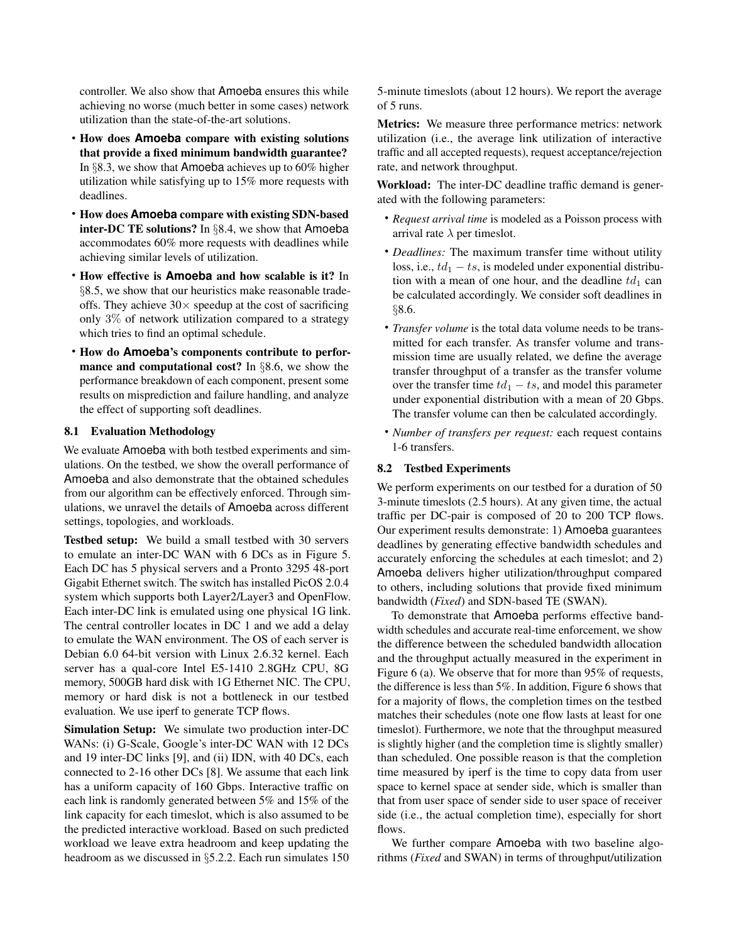controller. We also show that Amoeba ensures this while achieving no worse (much better in some cases) network utilization than the state-of-the-art solutions.

- How does **Amoeba** compare with existing solutions that provide a fixed minimum bandwidth guarantee? In §8.3, we show that Amoeba achieves up to 60% higher utilization while satisfying up to 15% more requests with deadlines.
- How does **Amoeba** compare with existing SDN-based inter-DC TE solutions? In §8.4, we show that Amoeba accommodates 60% more requests with deadlines while achieving similar levels of utilization.
- How effective is **Amoeba** and how scalable is it? In §8.5, we show that our heuristics make reasonable tradeoffs. They achieve  $30 \times$  speedup at the cost of sacrificing only 3% of network utilization compared to a strategy which tries to find an optimal schedule.
- How do **Amoeba**'s components contribute to performance and computational cost? In §8.6, we show the performance breakdown of each component, present some results on misprediction and failure handling, and analyze the effect of supporting soft deadlines.

## 8.1 Evaluation Methodology

We evaluate Amoeba with both testbed experiments and simulations. On the testbed, we show the overall performance of Amoeba and also demonstrate that the obtained schedules from our algorithm can be effectively enforced. Through simulations, we unravel the details of Amoeba across different settings, topologies, and workloads.

Testbed setup: We build a small testbed with 30 servers to emulate an inter-DC WAN with 6 DCs as in Figure 5. Each DC has 5 physical servers and a Pronto 3295 48-port Gigabit Ethernet switch. The switch has installed PicOS 2.0.4 system which supports both Layer2/Layer3 and OpenFlow. Each inter-DC link is emulated using one physical 1G link. The central controller locates in DC 1 and we add a delay to emulate the WAN environment. The OS of each server is Debian 6.0 64-bit version with Linux 2.6.32 kernel. Each server has a qual-core Intel E5-1410 2.8GHz CPU, 8G memory, 500GB hard disk with 1G Ethernet NIC. The CPU, memory or hard disk is not a bottleneck in our testbed evaluation. We use iperf to generate TCP flows.

Simulation Setup: We simulate two production inter-DC WANs: (i) G-Scale, Google's inter-DC WAN with 12 DCs and 19 inter-DC links [9], and (ii) IDN, with 40 DCs, each connected to 2-16 other DCs [8]. We assume that each link has a uniform capacity of 160 Gbps. Interactive traffic on each link is randomly generated between 5% and 15% of the link capacity for each timeslot, which is also assumed to be the predicted interactive workload. Based on such predicted workload we leave extra headroom and keep updating the headroom as we discussed in §5.2.2. Each run simulates 150

5-minute timeslots (about 12 hours). We report the average of 5 runs.

Metrics: We measure three performance metrics: network utilization (i.e., the average link utilization of interactive traffic and all accepted requests), request acceptance/rejection rate, and network throughput.

Workload: The inter-DC deadline traffic demand is generated with the following parameters:

- *Request arrival time* is modeled as a Poisson process with arrival rate  $\lambda$  per timeslot.
- *Deadlines:* The maximum transfer time without utility loss, i.e.,  $td_1 - ts$ , is modeled under exponential distribution with a mean of one hour, and the deadline  $td_1$  can be calculated accordingly. We consider soft deadlines in §8.6.
- *Transfer volume* is the total data volume needs to be transmitted for each transfer. As transfer volume and transmission time are usually related, we define the average transfer throughput of a transfer as the transfer volume over the transfer time  $td_1 - ts$ , and model this parameter under exponential distribution with a mean of 20 Gbps. The transfer volume can then be calculated accordingly.
- *Number of transfers per request:* each request contains 1-6 transfers.

## 8.2 Testbed Experiments

We perform experiments on our testbed for a duration of 50 3-minute timeslots (2.5 hours). At any given time, the actual traffic per DC-pair is composed of 20 to 200 TCP flows. Our experiment results demonstrate: 1) Amoeba guarantees deadlines by generating effective bandwidth schedules and accurately enforcing the schedules at each timeslot; and 2) Amoeba delivers higher utilization/throughput compared to others, including solutions that provide fixed minimum bandwidth (*Fixed*) and SDN-based TE (SWAN).

To demonstrate that Amoeba performs effective bandwidth schedules and accurate real-time enforcement, we show the difference between the scheduled bandwidth allocation and the throughput actually measured in the experiment in Figure 6 (a). We observe that for more than 95% of requests, the difference is less than 5%. In addition, Figure 6 shows that for a majority of flows, the completion times on the testbed matches their schedules (note one flow lasts at least for one timeslot). Furthermore, we note that the throughput measured is slightly higher (and the completion time is slightly smaller) than scheduled. One possible reason is that the completion time measured by iperf is the time to copy data from user space to kernel space at sender side, which is smaller than that from user space of sender side to user space of receiver side (i.e., the actual completion time), especially for short flows.

We further compare Amoeba with two baseline algorithms (*Fixed* and SWAN) in terms of throughput/utilization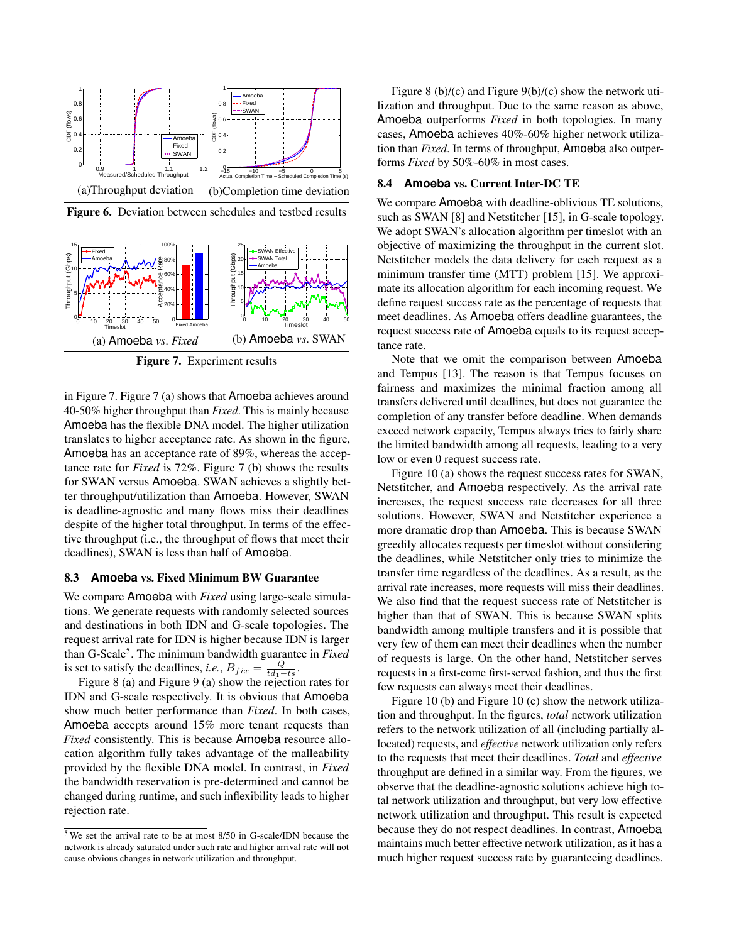

Figure 6. Deviation between schedules and testbed results



Figure 7. Experiment results

in Figure 7. Figure 7 (a) shows that Amoeba achieves around 40-50% higher throughput than *Fixed*. This is mainly because Amoeba has the flexible DNA model. The higher utilization translates to higher acceptance rate. As shown in the figure, Amoeba has an acceptance rate of 89%, whereas the acceptance rate for *Fixed* is 72%. Figure 7 (b) shows the results for SWAN versus Amoeba. SWAN achieves a slightly better throughput/utilization than Amoeba. However, SWAN is deadline-agnostic and many flows miss their deadlines despite of the higher total throughput. In terms of the effective throughput (i.e., the throughput of flows that meet their deadlines), SWAN is less than half of Amoeba.

#### 8.3 **Amoeba** vs. Fixed Minimum BW Guarantee

We compare Amoeba with *Fixed* using large-scale simulations. We generate requests with randomly selected sources and destinations in both IDN and G-scale topologies. The request arrival rate for IDN is higher because IDN is larger than G-Scale<sup>5</sup> . The minimum bandwidth guarantee in *Fixed* is set to satisfy the deadlines, *i.e.*,  $B_{fix} = \frac{Q}{td_1 - ts}$ .

Figure 8 (a) and Figure 9 (a) show the rejection rates for IDN and G-scale respectively. It is obvious that Amoeba show much better performance than *Fixed*. In both cases, Amoeba accepts around 15% more tenant requests than *Fixed* consistently. This is because Amoeba resource allocation algorithm fully takes advantage of the malleability provided by the flexible DNA model. In contrast, in *Fixed* the bandwidth reservation is pre-determined and cannot be changed during runtime, and such inflexibility leads to higher rejection rate.

Figure 8 (b)/(c) and Figure 9(b)/(c) show the network utilization and throughput. Due to the same reason as above, Amoeba outperforms *Fixed* in both topologies. In many cases, Amoeba achieves 40%-60% higher network utilization than *Fixed*. In terms of throughput, Amoeba also outperforms *Fixed* by 50%-60% in most cases.

#### 8.4 **Amoeba** vs. Current Inter-DC TE

We compare Amoeba with deadline-oblivious TE solutions, such as SWAN [8] and Netstitcher [15], in G-scale topology. We adopt SWAN's allocation algorithm per timeslot with an objective of maximizing the throughput in the current slot. Netstitcher models the data delivery for each request as a minimum transfer time (MTT) problem [15]. We approximate its allocation algorithm for each incoming request. We define request success rate as the percentage of requests that meet deadlines. As Amoeba offers deadline guarantees, the request success rate of Amoeba equals to its request acceptance rate.

Note that we omit the comparison between Amoeba and Tempus [13]. The reason is that Tempus focuses on fairness and maximizes the minimal fraction among all transfers delivered until deadlines, but does not guarantee the completion of any transfer before deadline. When demands exceed network capacity, Tempus always tries to fairly share the limited bandwidth among all requests, leading to a very low or even 0 request success rate.

Figure 10 (a) shows the request success rates for SWAN, Netstitcher, and Amoeba respectively. As the arrival rate increases, the request success rate decreases for all three solutions. However, SWAN and Netstitcher experience a more dramatic drop than Amoeba. This is because SWAN greedily allocates requests per timeslot without considering the deadlines, while Netstitcher only tries to minimize the transfer time regardless of the deadlines. As a result, as the arrival rate increases, more requests will miss their deadlines. We also find that the request success rate of Netstitcher is higher than that of SWAN. This is because SWAN splits bandwidth among multiple transfers and it is possible that very few of them can meet their deadlines when the number of requests is large. On the other hand, Netstitcher serves requests in a first-come first-served fashion, and thus the first few requests can always meet their deadlines.

Figure 10 (b) and Figure 10 (c) show the network utilization and throughput. In the figures, *total* network utilization refers to the network utilization of all (including partially allocated) requests, and *effective* network utilization only refers to the requests that meet their deadlines. *Total* and *effective* throughput are defined in a similar way. From the figures, we observe that the deadline-agnostic solutions achieve high total network utilization and throughput, but very low effective network utilization and throughput. This result is expected because they do not respect deadlines. In contrast, Amoeba maintains much better effective network utilization, as it has a much higher request success rate by guaranteeing deadlines.

<sup>5</sup> We set the arrival rate to be at most 8/50 in G-scale/IDN because the network is already saturated under such rate and higher arrival rate will not cause obvious changes in network utilization and throughput.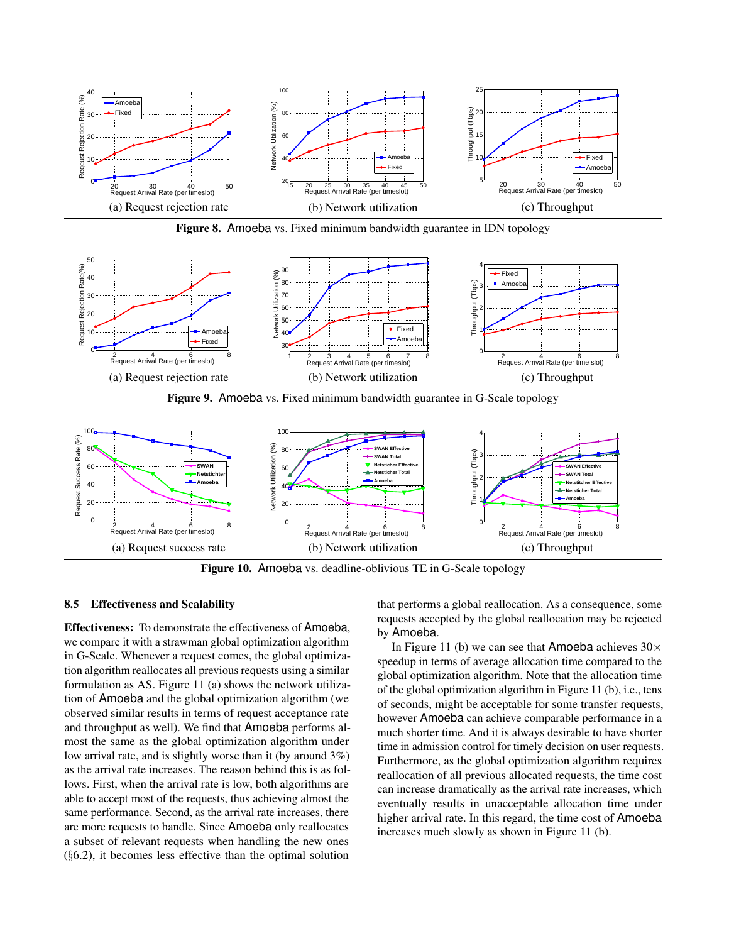

Figure 8. Amoeba vs. Fixed minimum bandwidth guarantee in IDN topology



Figure 9. Amoeba vs. Fixed minimum bandwidth guarantee in G-Scale topology



Figure 10. Amoeba vs. deadline-oblivious TE in G-Scale topology

## 8.5 Effectiveness and Scalability

Effectiveness: To demonstrate the effectiveness of Amoeba, we compare it with a strawman global optimization algorithm in G-Scale. Whenever a request comes, the global optimization algorithm reallocates all previous requests using a similar formulation as AS. Figure 11 (a) shows the network utilization of Amoeba and the global optimization algorithm (we observed similar results in terms of request acceptance rate and throughput as well). We find that Amoeba performs almost the same as the global optimization algorithm under low arrival rate, and is slightly worse than it (by around 3%) as the arrival rate increases. The reason behind this is as follows. First, when the arrival rate is low, both algorithms are able to accept most of the requests, thus achieving almost the same performance. Second, as the arrival rate increases, there are more requests to handle. Since Amoeba only reallocates a subset of relevant requests when handling the new ones (§6.2), it becomes less effective than the optimal solution

that performs a global reallocation. As a consequence, some requests accepted by the global reallocation may be rejected by Amoeba.

In Figure 11 (b) we can see that Amoeba achieves  $30\times$ speedup in terms of average allocation time compared to the global optimization algorithm. Note that the allocation time of the global optimization algorithm in Figure 11 (b), i.e., tens of seconds, might be acceptable for some transfer requests, however Amoeba can achieve comparable performance in a much shorter time. And it is always desirable to have shorter time in admission control for timely decision on user requests. Furthermore, as the global optimization algorithm requires reallocation of all previous allocated requests, the time cost can increase dramatically as the arrival rate increases, which eventually results in unacceptable allocation time under higher arrival rate. In this regard, the time cost of Amoeba increases much slowly as shown in Figure 11 (b).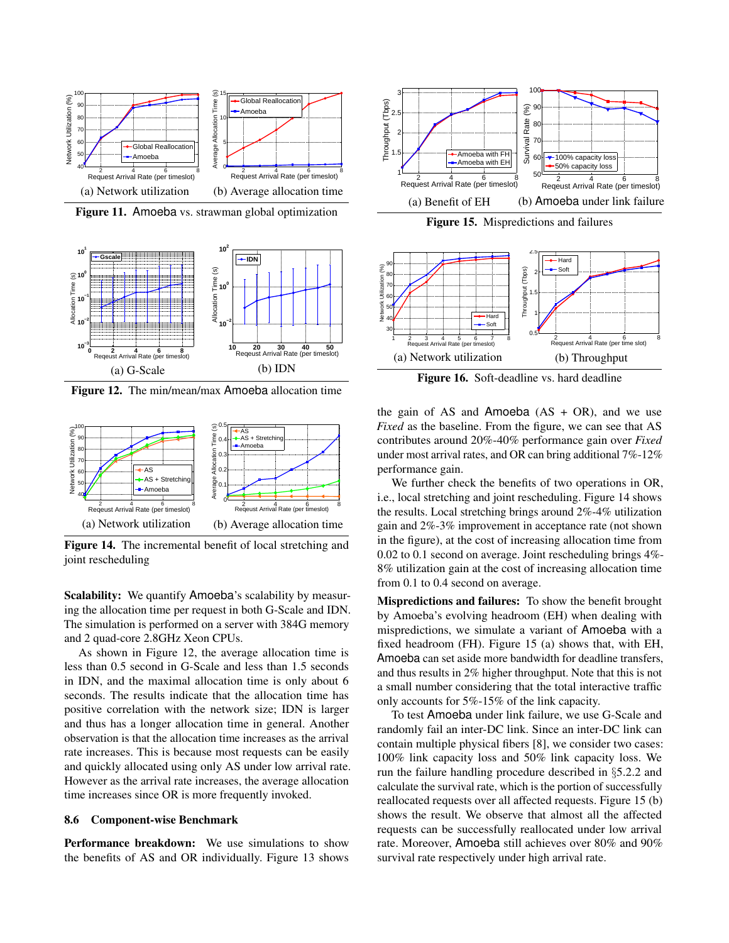

Figure 11. Amoeba vs. strawman global optimization



Figure 12. The min/mean/max Amoeba allocation time



Figure 14. The incremental benefit of local stretching and joint rescheduling

Scalability: We quantify Amoeba's scalability by measuring the allocation time per request in both G-Scale and IDN. The simulation is performed on a server with 384G memory and 2 quad-core 2.8GHz Xeon CPUs.

As shown in Figure 12, the average allocation time is less than 0.5 second in G-Scale and less than 1.5 seconds in IDN, and the maximal allocation time is only about 6 seconds. The results indicate that the allocation time has positive correlation with the network size; IDN is larger and thus has a longer allocation time in general. Another observation is that the allocation time increases as the arrival rate increases. This is because most requests can be easily and quickly allocated using only AS under low arrival rate. However as the arrival rate increases, the average allocation time increases since OR is more frequently invoked.

#### 8.6 Component-wise Benchmark

Performance breakdown: We use simulations to show the benefits of AS and OR individually. Figure 13 shows



Figure 15. Mispredictions and failures



Figure 16. Soft-deadline vs. hard deadline

the gain of AS and Amoeba  $(AS + OR)$ , and we use *Fixed* as the baseline. From the figure, we can see that AS contributes around 20%-40% performance gain over *Fixed* under most arrival rates, and OR can bring additional 7%-12% performance gain.

We further check the benefits of two operations in OR, i.e., local stretching and joint rescheduling. Figure 14 shows the results. Local stretching brings around 2%-4% utilization gain and 2%-3% improvement in acceptance rate (not shown in the figure), at the cost of increasing allocation time from 0.02 to 0.1 second on average. Joint rescheduling brings 4%- 8% utilization gain at the cost of increasing allocation time from 0.1 to 0.4 second on average.

Mispredictions and failures: To show the benefit brought by Amoeba's evolving headroom (EH) when dealing with mispredictions, we simulate a variant of Amoeba with a fixed headroom (FH). Figure 15 (a) shows that, with EH, Amoeba can set aside more bandwidth for deadline transfers, and thus results in 2% higher throughput. Note that this is not a small number considering that the total interactive traffic only accounts for 5%-15% of the link capacity.

To test Amoeba under link failure, we use G-Scale and randomly fail an inter-DC link. Since an inter-DC link can contain multiple physical fibers [8], we consider two cases: 100% link capacity loss and 50% link capacity loss. We run the failure handling procedure described in §5.2.2 and calculate the survival rate, which is the portion of successfully reallocated requests over all affected requests. Figure 15 (b) shows the result. We observe that almost all the affected requests can be successfully reallocated under low arrival rate. Moreover, Amoeba still achieves over 80% and 90% survival rate respectively under high arrival rate.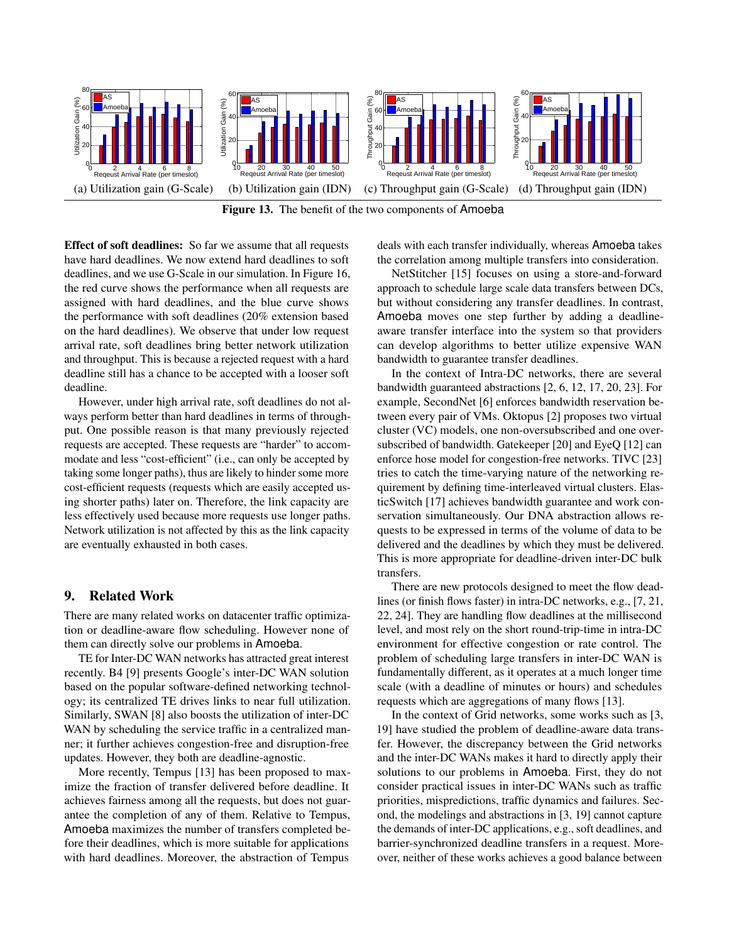

Figure 13. The benefit of the two components of Amoeba

Effect of soft deadlines: So far we assume that all requests have hard deadlines. We now extend hard deadlines to soft deadlines, and we use G-Scale in our simulation. In Figure 16, the red curve shows the performance when all requests are assigned with hard deadlines, and the blue curve shows the performance with soft deadlines (20% extension based on the hard deadlines). We observe that under low request arrival rate, soft deadlines bring better network utilization and throughput. This is because a rejected request with a hard deadline still has a chance to be accepted with a looser soft deadline.

However, under high arrival rate, soft deadlines do not always perform better than hard deadlines in terms of throughput. One possible reason is that many previously rejected requests are accepted. These requests are "harder" to accommodate and less "cost-efficient" (i.e., can only be accepted by taking some longer paths), thus are likely to hinder some more cost-efficient requests (requests which are easily accepted using shorter paths) later on. Therefore, the link capacity are less effectively used because more requests use longer paths. Network utilization is not affected by this as the link capacity are eventually exhausted in both cases.

## 9. Related Work

There are many related works on datacenter traffic optimization or deadline-aware flow scheduling. However none of them can directly solve our problems in Amoeba.

TE for Inter-DC WAN networks has attracted great interest recently. B4 [9] presents Google's inter-DC WAN solution based on the popular software-defined networking technology; its centralized TE drives links to near full utilization. Similarly, SWAN [8] also boosts the utilization of inter-DC WAN by scheduling the service traffic in a centralized manner; it further achieves congestion-free and disruption-free updates. However, they both are deadline-agnostic.

More recently, Tempus [13] has been proposed to maximize the fraction of transfer delivered before deadline. It achieves fairness among all the requests, but does not guarantee the completion of any of them. Relative to Tempus, Amoeba maximizes the number of transfers completed before their deadlines, which is more suitable for applications with hard deadlines. Moreover, the abstraction of Tempus

deals with each transfer individually, whereas Amoeba takes the correlation among multiple transfers into consideration.

NetStitcher [15] focuses on using a store-and-forward approach to schedule large scale data transfers between DCs, but without considering any transfer deadlines. In contrast, Amoeba moves one step further by adding a deadlineaware transfer interface into the system so that providers can develop algorithms to better utilize expensive WAN bandwidth to guarantee transfer deadlines.

In the context of Intra-DC networks, there are several bandwidth guaranteed abstractions [2, 6, 12, 17, 20, 23]. For example, SecondNet [6] enforces bandwidth reservation between every pair of VMs. Oktopus [2] proposes two virtual cluster (VC) models, one non-oversubscribed and one oversubscribed of bandwidth. Gatekeeper [20] and EyeQ [12] can enforce hose model for congestion-free networks. TIVC [23] tries to catch the time-varying nature of the networking requirement by defining time-interleaved virtual clusters. ElasticSwitch [17] achieves bandwidth guarantee and work conservation simultaneously. Our DNA abstraction allows requests to be expressed in terms of the volume of data to be delivered and the deadlines by which they must be delivered. This is more appropriate for deadline-driven inter-DC bulk transfers.

There are new protocols designed to meet the flow deadlines (or finish flows faster) in intra-DC networks, e.g., [7, 21, 22, 24]. They are handling flow deadlines at the millisecond level, and most rely on the short round-trip-time in intra-DC environment for effective congestion or rate control. The problem of scheduling large transfers in inter-DC WAN is fundamentally different, as it operates at a much longer time scale (with a deadline of minutes or hours) and schedules requests which are aggregations of many flows [13].

In the context of Grid networks, some works such as [3, 19] have studied the problem of deadline-aware data transfer. However, the discrepancy between the Grid networks and the inter-DC WANs makes it hard to directly apply their solutions to our problems in Amoeba. First, they do not consider practical issues in inter-DC WANs such as traffic priorities, mispredictions, traffic dynamics and failures. Second, the modelings and abstractions in [3, 19] cannot capture the demands of inter-DC applications, e.g., soft deadlines, and barrier-synchronized deadline transfers in a request. Moreover, neither of these works achieves a good balance between